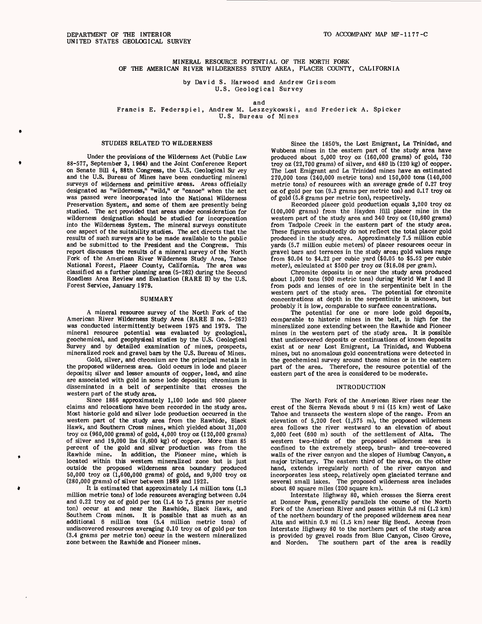# MINERAL RESOURCE POTENTIAL OF THE NORTH FORK OF THE AMERICAN RIVER WILDERNESS STUDY AREA, PLACER COUNTY, CALIFORNIA

by David S. Harwood and Andrew Griscom U.S. Geological Survey

and

Francis E. Federspiel, Andrew M. Leszcykowski, and Frederick A. Spicker U.S. Bureau of Mines

## STUDIES RELATED TO WILDERNESS

Under the provisions of the Wilderness Act (Public Law 88-577, September 3, 1964) and the Joint Conference Report on Senate Bill 4, 88th Congress, the U.S. Geological Su vey and the U.S. Bureau of Mines have been conducting mineral surveys of wilderness and primitive areas. Areas officially designated as "wilderness," "wild," or "canoe" when the act was passed were incorporated into the National Wilderness Preservation System, and some of them are presently being studied. The act provided that areas under consideration for wilderness designation should be studied for incorporation into the Wilderness System. The mineral surveys constitute one aspect of the suitability studies. The act directs that the results of such surveys are to be made available to the public and be submitted to the President and the Congress. This report discusses the results of a mineral survey of the North Fork of the American River Wilderness Study Area, Tahoe National Forest, Placer County, California. The area was classified as a further planning area (5-262) during the Second Roadless Area Review and Evaluation (RARE II) by the U.S. Forest Service, January 1979.

#### SUMMARY

A mineral resource survey of the North Fork of the American River Wilderness Study Area (RARE II no. 5-262) was conducted intermittently between 1975 and 1979. The mineral resource potential was evaluated by geological, geochemical, and geophysical studies by the U.S. Geological Survey and by detailed examination of mines, prospects, mineralized rock and gravel bars by the U.S. Bureau of Mines.

Gold, silver, and chromium are the principal metals in the proposed wilderness area. Gold occurs in lode and placer deposits; silver and lesser amounts of copper, lead, and zinc are associated with gold in some lode deposits; chromium is disseminated in a belt of serpentinite that crosses the western part of the study area.

Since 1866 approximately 1,100 lode and 900 placer claims and relocations have been recorded in the study area. Most historic gold and silver lode production occurred in the western part of the study area from the Rawhide, Black Hawk, and Southern Cross mines, which yielded about 31,000 troy oz (960,000 grams) of gold, 4,000 troy oz (120,000 grams) of silver and 19,000 Ibs (8,600 kg) of copper. More than 85 percent of the gold and silver production was from the Rawhide mine. In addition, the Pioneer mine, which is In addition, the Pioneer mine, which is located within this western mineralized zone but is just outside the proposed wilderness area boundary produced 50,000 troy oz (1,600,000 grams) of gold, and 9,000 troy oz (280,000 grams) of silver between 1889 and 1922.

It is estimated that approximately 1.4 million tons (1.3 million metric tons) of lode resources averaging between 0.04 and 0.22 troy oz of gold per ton (1.4 to 7.5 grams per metric ton) occur at and near the Rawhide, Black Hawk, and Southern Cross mines. It is possible that as much as an additional 6 million tons (5.4 million metric tons) of undiscovered resources averaging 0.10 troy oz of gold per ton (3.4 grams per metric ton) occur in the western mineralized zone between the Rawhide and Pioneer mines.

Since the 1850's, the Lost Emigrant, La Trinidad, and Wubbena mines in the eastern part of the study area have produced about 5,000 troy oz (160,000 grams) of gold, 730 troy oz (22,700 grams) of silver, and 480 Ib (220 kg) of copper. The Lost Emigrant and La Trinidad mines have an estimated 270,000 tons (240,000 metric tons) and 150,000 tons (140,000 metric tons) of resources with an average grade of 0.27 troy oz of gold per ton (9.3 grams per metric ton) and 0.17 troy oz of gold (5.8 grams per metric ton), respectively.

Recorded placer gold production equals 3,200 troy oz (100,000 grams) from the Hayden Hill placer mine in the western part of the study area and 340 troy oz (10,600 grams) from Tadpole Creek in the eastern part of the study area. These figures undoubtedly do not reflect the total placer gold produced in the study area. Approximately 7.5 million cubic yards (5.7 million cubic meters) of placer resources occur in gravel bars and terraces in the study area; gold values range from \$0.04 to \$4.22 per cubic yard (\$0.05 to \$5.52 per cubic meter), calculated at \$500 per troy oz (\$16.08 per gram).

Chromite deposits in or near the study area produced about 1,000 tons (900 metric tons) during World War I and II from pods and lenses of ore in the serpentinite belt in the western part of the study area. The potential for chromite concentrations at depth in the serpentinite is unknown, but probably it is low, comparable to surface concentrations.

The potential for one or more lode gold deposits, comparable to historic mines in the belt, is high for the mineralized zone extending between the Rawhide and Pioneer mines in the western part of the study area. It is possible that undiscovered deposits or continuations of known deposits exist at or near Lost Emigrant, La Trinidad, and Wubbena mines, but no anomalous gold concentrations were detected in the geochemical survey around those mines or in the eastern part of the area. Therefore, the resource potential of the eastern part of the area is considered to be moderate.

#### INTRODUCTION

The North Fork of the American River rises near the crest of the Sierra Nevada about 9 mi (15 km) west of Lake Tahoe and transects the western slope of the range. From an elevation of 5,200 feet (1,575 m), the proposed wilderness area follows the river westward to an elevation of about 2,000 feet (600 m) south of the settlement of Alta. The western two-thirds of the proposed wilderness area is confined to the extremely steep, brush- and tree-covered walls of the river canyon and the slopes of Humbug Canyon, a major tributary. The eastern third of the area, on the other hand, extends irregularly north of the river canyon and incorporates less steep, relatively open glaciated terrane and several small lakes. The proposed wilderness area includes about 80 square miles (200 square km).

Interstate Highway 80, which crosses the Sierra crest at Donner Pass, generally parallels the course of the North Fork of the American River and passes within 0.8 mi (1.2 km) of the northern boundary of the proposed wilderness area near Alta and within 0.9 mi (1.5 km) near Big Bend. Access from Interstate Highway 80 to the northern part of the study area is provided by gravel roads from Blue Canyon, Cisco Grove, and Norden. The southern part of the area is readily The southern part of the area is readily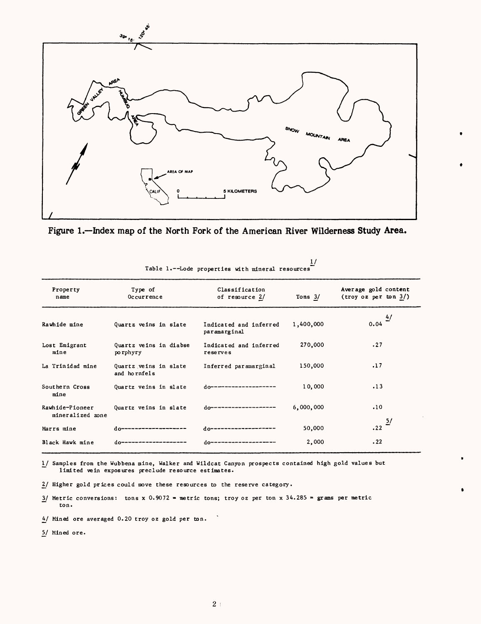



| Property<br>name                    | Type of<br>Occurrence                 | Classification<br>of resource 2/       | Tons $3/$ | Average gold content<br>(troy oz per ton 3/) |
|-------------------------------------|---------------------------------------|----------------------------------------|-----------|----------------------------------------------|
| Rawhide mine                        | Quartz veins in slate                 | Indicated and inferred<br>paramarginal | 1,400,000 | $\frac{4}{ }$<br>0.04                        |
| Lost Emigrant<br>mine               | Quartz veins in diabse<br>po rphyry   | Indicated and inferred<br>reserves     | 270,000   | .27                                          |
| La Trinidad mine                    | Quartz veins in slate<br>and hornfels | Inferred paramarginal                  | 150,000   | .17                                          |
| Southern Cross<br>mine              | Quartz veins in slate                 | do--------------------                 | 10,000    | .13                                          |
| Rawhide-Pioneer<br>mineralized zone | Quartz veins in slate                 | do-------------------                  | 6,000,000 | .10                                          |
| Marrs mine                          | do-------------------                 | $d$ 0--------------------              | 50,000    | $.22 \frac{5}{ }$                            |
| Black Hawk mine                     | do--------------------                | do--------------------                 | 2,000     | .22                                          |

Table 1.--Lode properties with mineral resources I/

!\_/ Samples from the Wubbena mine, Walker and Wildcat Canyon prospects contained high gold values but limited vein exposures preclude resource estimates.

2/ Higher gold prices could move these resources to the reserve category.

 $\frac{3}{2}$  Metric conversions: tons x 0.9072 = metric tons; troy oz per ton x 34.285 = grams per metric ton.

4/ Mined ore averaged 0.20 troy oz gold per ton.

5/ Mined ore.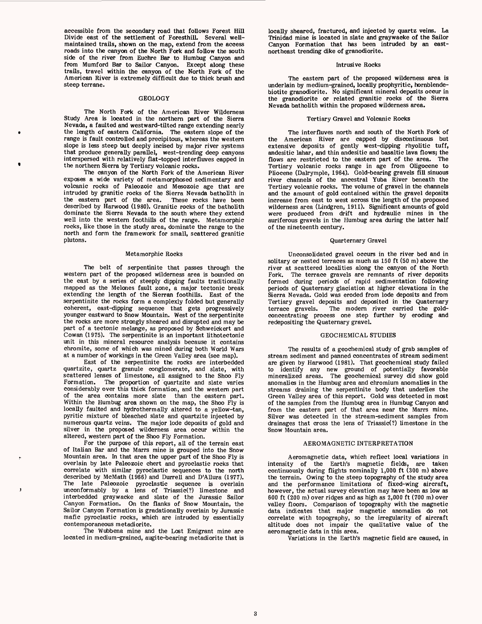accessible from the secondary road that follows Forest Hill Divide east of the settlement of Foresthill. Several wellmaintained trails, shown on the map, extend from the access roads into the canyon of the North Fork and follow the south side of the river from Euchre Bar to Humbug Canyon and from Mumford Bar to Sailor Canyon. Except along these trails, travel within the canyon of the North Fork of the American River is extremely difficult due to thick brush and steep terrane.

# GEOLOGY

The North Fork of the American River Wilderness Study Area is located in the northern part of the Sierra Nevada, a faulted and westward-tilted range extending nearly the length of eastern California. The eastern slope of the range is fault controlled and precipitous, whereas the western slope is less steep but deeply incised by major river systems that produce generally parallel, west-trending deep canyons interspersed with relatively flat-topped interfluves capped in the northern Sierra by Tertiary volcanic rocks.

The canyon of the North Fork of the American River exposes a wide variety of metamorphosed sedimentary and volcanic rocks of Paleozoic and Mesozoic age that are intruded by granitic rocks of the Sierra Nevada batholith in the eastern part of the area. These rocks have been described by Harwood (1980). Granitic rocks of the batholith dominate the Sierra Nevada to the south where they extend well into the western foothills of the range. Metamorphic rocks, like those in the study area, dominate the range to the north and form the framework for small, scattered granitic plutons.

### Metamorphic Rocks

The belt of serpentinite that passes through the western part of the proposed wilderness area is bounded on the east by a series of steeply dipping faults traditionally mapped as the Melones fault zone, a major tectonic break extending the length of the Sierran foothills. East of the serpentinite the rocks form a complexly folded but generally coherent, east-dipping sequence that gets progressively younger eastward to Snow Mountain. West of the serpentinite the rocks are more strongly sheared and disrupted and may be part of a tectonic melange, as proposed by Schweickert and Cowan (1975). The serpentinite is an important lithotectonic unit in this mineral resource analysis because it contains chromite, some of which was mined during both World Wars at a number of workings in the Green Valley area (see map).

East of the serpentinite the rocks are interbedded quartzite, quartz granule conglomerate, and slate, with scattered lenses of limestone, all assigned to the Shoo Fly Formation. The proportion of quartzite and slate varies considerably over this thick formation, and the western part of the area contains more slate than the eastern part. Within the Humbug area shown on the map, the Shoo Fly is locally faulted and hydrothermally altered to a yellow-tan, pyritic mixture of bleached slate and quartzite injected by numerous quartz veins. The major lode deposits of gold and silver in the proposed wilderness area occur within the altered, western part of the Shoo Fly Formation.

For the purpose of this report, all of the terrain east of Italian Bar and the Marrs mine is grouped into the Snow Mountain area. In that area the upper part of the Shoo Fly is overlain by late Paleozoic chert and pyroclastic rocks that correlate with similar pyroclastic sequences to the north described by McMath (1966) and Durrell and D'Allura (1977).<br>The late Paleozoic pyroclastic sequence is overlain Paleozoic pyroclastic sequence is overlain unconformably by a lens of Triassic(?) limestone and interbedded graywacke and slate of the Jurassic Sailor Canyon Formation. On the flanks of Snow Mountain, the Sailor Canyon Formation is gradationally overlain by Jurassic mafic pyroclastic rocks, which are intruded by essentially contemporaneous metadiorite.

J

The Wubbena mine and the Lost Emigrant mine are located in medium-grained, augite-bearing metadiorite that is locally sheared, fractured, and injected by quartz veins. La Trinidad mine is located in slate and graywacke of the Sailor Canyon Formation that has been intruded by an eastnortheast trending dike of granodiorite.

# Intrusive Rocks

The eastern part of the proposed wilderness area is underlain by medium-grained, locally prophyritic, nornblendebiotite granodiorite. No significant mineral deposits occur in the granodiorite or related granitic rocks of the Sierra Nevada batholith within the proposed wilderness area.

## Tertiary Gravel and Volcanic Rocks

The interfluves north and south of the North Fork of the American River are capped by discontinuous but extensive deposits of gently west-dipping rhyolitic tuff, andesitic lahar, and thin andesitic and basaltic lava flows; the flows are restricted to the eastern part of the area. The Tertiary volcanic rocks range in age from Oligocene to Pliocene (Dalrymple, 1964). Gold-bearing gravels fill sinuous river channels of the ancestral Yuba River beneath the Tertiary volcanic rocks. The volume of gravel in the channels and the amount of gold contained within the gravel deposits increase from east to west across the length of the proposed wilderness area (Lindgren, 1911). Significant amounts of gold were produced from drift and hydraulic mines in the auriferous gravels in the Humbug area during the latter half of the nineteenth century.

# Quarternary Gravel

Unconsolidated gravel occurs in the river bed and in solitary or nested terraces as much as 150 ft (50 m) above the river at scattered localities along the canyon of the North Fork. The terrace gravels are remnants of river deposits formed during periods of rapid sedimentation following periods of Quaternary glaciation at higher elevations in the Sierra Nevada. Gold was eroded from lode deposits and from Tertiary gravel deposits and deposited in the Quaternary terrace gravels. The modern river carried the goldconcentrating process one step further by eroding and redepositing the Quaternary gravel.

## GEOCHEMICAL STUDIES

The results of a geochemical study of grab samples of stream sediment and panned concentrates of stream sediment are given by Harwood (1981). That geochemical study failed to identify any new ground of potentially favorable mineralized areas. The geochemical survey did show gold anomalies in the Humbug area and chromium anomalies in the streams draining the serpentinite body that underlies the Green Valley area of this report. Gold was detected in most of the samples from the Humbug area in Humbug Canyon and from the eastern part of that area near the Marrs mine. Silver was detected in the stream-sediment samples from drainages that cross the lens of Triassic(?) limestone in the Snow Mountain area.

## AEROMAGNETIC INTERPRETATION

Aeromagnetic data, which reflect local variations in intensity of the Earth's magnetic fields, are taken continuously during flights nominally 1,000 ft (300 m) above the terrain. Owing to the steep topography of the study area and the performance limitations of fixed-wing aircraft, however, the actual survey elevation may have been as low as 600 ft (200 m) over ridges and as high as 2,000 ft (700 m) over valley floors. Comparison of topography with the magnetic data indicates that major magnetic anomalies do not correlate with topography, so the irregularity of aircraft altitude does not impair the qualitative value of the aeromagnetic data in this area.

Variations in the Earth's magnetic field are caused, in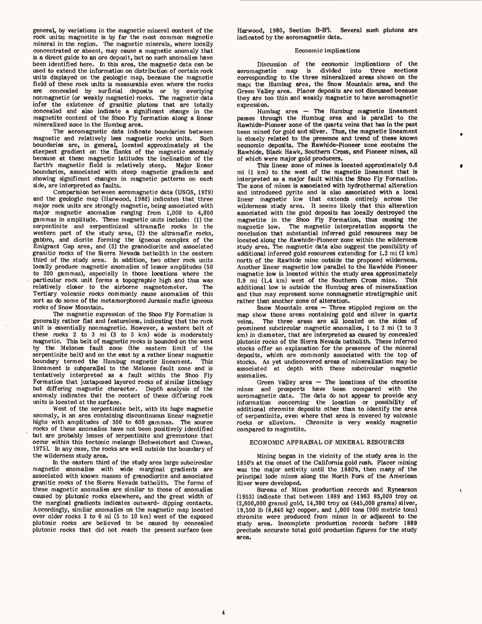general, by variations in the magnetic mineral content of the rock units; magnetite is by far the most common magnetic mineral in the region. The magnetic minerals, where locally concentrated or absent, may cause a magnetic anomaly that is a direct guide to an ore deposit, but no such anomalies have been identified here. In this area, the magnetic data can be used to extend the information on distribution of certain rock units displayed on the geologic map, because the magnetic field of these rock units is measurable even where the rocks are concealed by surficial deposits or by overlying nonmagnetic (or weakly magnetic) rocks. The magnetic data infer the existence of granitic plutons that are totally concealed and also indicate a significant change in the magnetite content of the Shoo Fly formation along a linear mineralized zone in the Humbug area.

The aeromagnetic data indicate boundaries between magnetic and relatively less magnetic rocks units. Such boundaries are, in general, located approximately at the steepest gradient on the flanks of the magnetic anomaly because at these magnetic latitudes the inclination of the Earth's magnetic field is relatively steep. Major linear boundaries, associated with steep magnetic gradients and showing significant changes in magnetic patterns on each side, are interpreted as faults.

Comparision between aeromagnetic data (USGS, 1979) and the geologic map (Harwood, 1980) indicates that three major rock units are strongly magnetic, being associated with major magnetic anomalies ranging from 1,000 to 4,000 gammas in amplitude. These magnetic units include: (1) the serpentinite and serpentinized ultramafic rocks in the western part of the study area, (2) the ultramafic rocks, gabbro, and diorite forming the igneous complex of the Emigrant Gap area, and (3) the granodiorite and associated granitic rocks of the Sierra Nevada batholith in the eastern third of the study area. In addition, two other rock units locally produce magnetic anomalies of lesser amplitudes (50 to 200 gammas), especially in those locations where the particular rock unit forms a topographic high and thus was relatively closer to the airborne magnetometer. The relatively closer to the airborne magnetometer. Tertiary volcanic rocks commonly cause anomalies of this sort as do some of the metamorphosed Jurassic mafic igneous rocks of Snow Mountain.

The magnetic expression of the Shoo Fly Formation is generally rather flat and featureless, indicating that the rock unit is essentially nonmagnetic. However, a western belt of these rocks 2 to 3 mi (3 to 5 km) wide is moderately magnetic. This belt of magnetic rocks is bounded on the west by the Melones fault zone (the eastern limit of the serpentinite belt) and on the east by a rather linear magnetic boundary termed the Humbug magnetic lineament. This lineament is subparallel to the Melones fault zone and is tentatively interpreted as a fault within the Shoo Fly Formation that juxtaposed layered rocks of similar lithology but differing magnetic character. Depth analysis of the anomaly indicates that the contact of these differing rock units is located at the surface.

West of the serpentinite belt, with its huge magnetic anomaly, is an area containing discontinuous linear magnetic highs with amplitudes of 300 to 600 gammas. The source rocks of these anomalies have not been positively identified but are probably lenses of serpentinite and greenstone that occur within this tectonic melange (Schweichert and Cowan, 1975). In any case, the rocks are well outside the boundary of the wilderness study area.

In the eastern third of the study area large subcircular magnetic anomalies with wide marginal gradients are associated with known masses of granodiorite and associated granitic rocks of the Sierra Nevada batholith. The forms of these magnetic anomalies are similar to those of anomalies caused by plutonic rocks elsewhere, and the great width of the marginal gradients indicates outward- dipping contacts. Accordingly, similar anomalies on the magnetic map located over older rocks 3 to 6 mi (5 to 10 km) west of the exposed plutonic rocks are believed to be caused by concealed plutonic rocks that did not reach the present surface (see

Harwood, 1980, Section B-B'). Several such plutons are indicated by the aeromagnetic data.

## Economic implications

Discussion of the economic implications of the aeromagnetic map is divided into three sections is divided into three sections corresponding to the three mineralized areas shown on the map: the Humbug area, the Snow Mountain area, and the Green Valley area. Placer deposits are not discussed because they are too thin and weakly magnetic to have aeromagnetic expression.

Humbug area  $-$  The Humbug magnetic lineament passes through the Humbug area and is parallel to the Rawhide-Pioneer zone of the quartz veins that has in the past been mined for gold and silver. Thus, the magnetic lineament is closely related to the presence and trend of these known economic deposits. The Rawhide-Pioneer zone contains the Rawhide, Black Hawk, Southern Cross, and Pioneer mines, all of which were major gold producers.

This linear zone of mines is located approximately 0.6 mi (1 km) to the west of the magnetic lineament that is interpreted as a major fault within the Shoo Fly Formation. The zone of mines is associated with hydrothermal alteration and introduced pyrite and is also associated with a local linear magnetic low that extends entirely across the wilderness study area. It seems likely that this alteration associated with the gold deposits has locally destroyed the magnetite in the Shoo Fly Formation, thus causing the magnetic low. The magnetic interpretation supports the conclusion that substantial inferred gold resources may be located along the Rawhide-Pioneer zone within the wilderness study area. The magnetic data also suggest the possibility of additional inferred gold resources extending for 1.2 mi (2 km) north of the Rawhide mine outside the proposed wilderness. Another linear magnetic low parallel to the Rawhide Pioneer magnetic low is located within the study area approximately  $0.9 \text{ mi}$  (1.4 km) west of the Southern Cross mine. This  $0.9$  mi (1.4 km) west of the Southern Cross mine. additional low is outside the Humbug area of mineralization and thus may represent some nonmagnetic stratigraphic unit rather than another zone of alteration.

Snow Mountain area  $-$  Three stippled regions on the map show those areas containing gold and silver in quartz veins. The three areas are all located on the sides of prominent subcircular magnetic anomalies, 1 to 2 mi (2 to 3 km) in diameter, that are interpreted as caused by concealed plutonic rocks of the Sierra Nevada batholith. These inferred stocks offer an explanation for the presence of the mineral deposits, which are commonly associated with the top of stocks. As yet undiscovered areas of mineralization may be associated at depth with these subcircular magnetic anomalies.

Green Valley area  $-$  The locations of the chromite mines and prospects have been compared with the aeromagnetic data. The data do not appear to provide any information concerning the location or possibility of additional chromite deposits other than to identify the area of serpentinite, even where that area is covered by volcanic rocks or alluvium. Chromite is very weakly magnetic compared to magnetite.

# ECONOMIC APPRAISAL OF MINERAL RESOURCES

Mining began in the vicinity of the study area in the 1850's at the onset of the California gold rush. Placer mining was the major activity until the 1880's, then many of the principal lode mines along the North Fork of the American River were developed.

 $\mathbf{f}$ 

Bureau of Mines production records and Rynearson (1953) indicate that between 1889 and 1963 85,000 troy oz (2,600,000 grams) gold, 14,300 troy oz (445,000 grams) silver, 19,500 Ib (8,840 kg) copper, and 1,000 tons (900 metric tons) chromite were produced from mines in or adjacent to the study area. Incomplete production records before 1889 preclude accurate total gold production figures for the study area.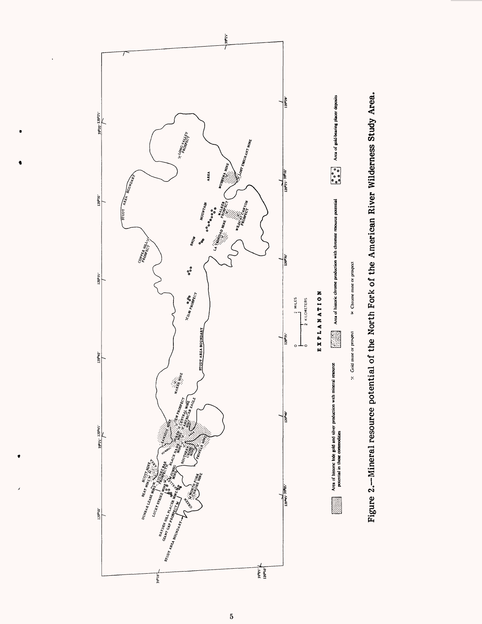

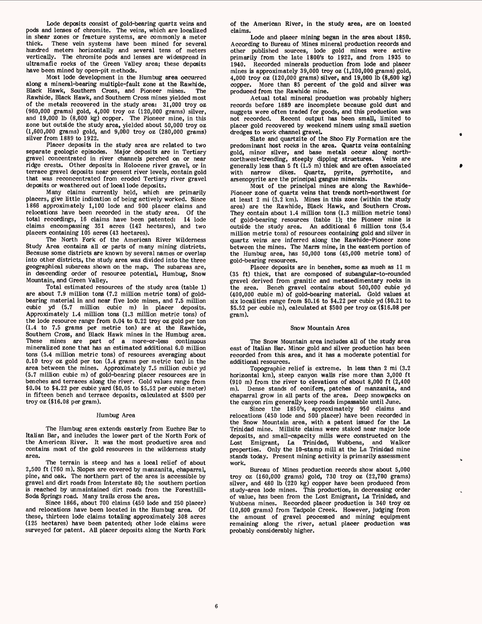Lode deposits consist of gold-bearing quartz veins and pods and lenses of chromite. The veins, which are localized in shear zones or fracture systems, are commonly a meter thick. These vein systems have been mined for several hundred meters horizontally and several tens of meters vertically. The chromite pods and lenses are widespread in ultramafic rocks of the Green Valley area; these deposits have been mined by open-pit methods.

Most lode development in the Humbug area occurred along a mineral-bearing multiple-fault zone at the Rawhide, Black Hawk, Southern Cross, and Pioneer mines. Rawhide, Black Hawk, and Southern Cross mines yielded most of the metals recovered in the study area: 31,000 troy oz (960,000 grams) gold, 4,000 troy oz (120,000 grams) silver, and 19,000 Ib (8,600 kg) copper. The Pioneer mine, in this zone but outside the study area, yielded about 50,000 troy oz (1,600,000 grams) gold, and 9,000 troy oz (280,000 grams) silver from 1889 to 1922.

Placer deposits in the study area are related to two separate geologic episodes. Major deposits are in Tertiary gravel concentrated in river channels perched on or near ridge crests. Other deposits in Holocene river gravel, or in terrace gravel deposits near present river levels, contain gold that was reconcentrated from eroded Tertiary river gravel deposits or weathered out of local lode deposits.

Many claims currently held, which are primarily placers, give little indication of being actively worked. Since 1866 approximately 1,100 lode and 900 placer claims and relocations have been recorded in the study area. Of the total recordings, 16 claims have been patented: 14 lode claims encompassing 351 acres (142 hectares), and two placers containing 105 acres (43 hectares).

The North Fork of the American River Wilderness Study Area contains all or parts of many mining districts. Because some districts are known by several names or overlap into other districts, the study area was divided into the three geographical subareas shown on the map. The subareas are, in descending order of resource potential, Humbug, Snow Mountain, and Green Valley.

Total estimated resources of the study area (table 1) are about 7.9 million tons (7.2 million metric tons) of goldbearing material in and near five lode mines, and 7.5 million cubic yd (5.7 million cubic m) in placer deposits. Approximately 1.4 million tons (1.3 million metric tons) of the lode resource range from 0.04 to 0.22 troy oz gold per ton (1.4 to 7.5 grams per metric ton) are at the Rawhide, Southern Cross, and Black Hawk mines in the Humbug area. These mines are part of a more-or-less continuous mineralized zone that has an estimated additional 6.0 million tons (5.4 million metric tons) of resources averaging about 0.10 troy oz gold per ton (3.4 grams per metric ton) in the area between the mines. Approximately 7.5 million cubic yd (5.7 million cubic m) of gold-bearing placer resources are in benches and terraces along the river. Gold values range from \$0.04 to \$4.22 per cubic yard (\$0.05 to \$5.52 per cubic meter) in fifteen bench and terrace deposits, calculated at \$500 per troy oz (\$16.08 per gram).

### Humbug Area

The Humbug area extends easterly from Euchre Bar to Italian Bar, and includes the lower part of the North Fork of the American River. It was the most productive area and contains most of the gold resources in the wilderness study area.

The terrain is steep and has a local relief of about 2,500 ft (760 m). Slopes are covered by manzanita, chaparral, pine, and oak. The northern part of the area is accessible by gravel and dirt roads from Interstate 80; the southern portion is reached by unmaintained dirt roads from the Foresthill-Soda Springs road. Many trails cross the area.

Since 1866, about 700 claims (450 lode and 250 placer) and relocations have been located in the Humbug area. Of these, thirteen lode claims totaling approximately 308 acres (125 hectares) have been patented; other lode claims were surveyed for patent. All placer deposits along the North Fork of the American River, in the study area, are on located claims.

Lode and placer mining began in the area about 1850. According to Bureau of Mines mineral production records and other published sources, lode gold mines were active primarily from the late 1800's to 1922, and from 1935 to 1940. Recorded minerals production from lode and placer mines is approximately 39,000 troy oz (1,200,000 grams) gold, 4,000 troy oz (120,000 grams) silver, and 19,000 Ib (8,600 kg) copper. More than 85 percent of the gold and silver was produced from the Rawhide mine.

Actual total mineral production was probably higher; records before 1889 are incomplete because gold dust and nuggets were often traded for goods, and this production was not recorded. Recent output has been small, limited to placer gold recovered by weekend miners using small suction dredges to work channel gravel.

Slate and quartzite of the Shoo Fly Formation are the predominant host rocks in the area. Quartz veins containing gold, minor silver, and base metals occur along northnorthwest-trending, steeply dipping structures. Veins are generally less than 5 ft  $(1.5 \text{ m})$  thick and are often associated with narrow dikes. Quartz, pyrite, pyrrhotite, and arsenopyrite are the principal gangue minerals.

Most of the principal mines are along the Rawhide-Pioneer zone of quartz veins that trends north-northwest for at least 2 mi (3.2 km). Mines in this zone (within the study area) are the Rawhide, Black Hawk, and Southern Cross. They contain about 1.4 million tons (1.3 million metric tons) of gold-bearing resources (table 1); the Pioneer mine is outside the study area. An additional 6 million tons (5.4 million metric tons) of resources containing gold and silver in quartz veins are inferred along the Rawhide-Pioneer zone between the mines. The Marrs mine, in the eastern portion of the Humbug area, has 50,000 tons (45,000 metric tons) of gold-bearing resources.

Placer deposits are in benches, some as much as 11 m (35 ft) thick, that are composed of subangular-to-rounded gravel derived from granitic and metasedimentary rocks in the area. Bench gravel contains about 500,000 cubic yd (400,000 cubic m) of gold-bearing material. Gold values at six localities range from \$0.16 to \$4.22 per cubic yd (\$0.21 to \$5.52 per cubic m), calculated at \$500 per troy oz (\$16.08 per gram).

### Snow Mountain Area

The Snow Mountain area includes all of the study area east of Italian Bar. Minor gold and silver production has been recorded from this area, and it has a moderate potential for additional resources.

Topographic relief is extreme. In less than 2 mi (3.2 horizontal km), steep canyon walls rise more than 3,000 ft (910 m) from the river to elevations of about 8,000 ft (2,400 Dense stands of conifers, patches of manzanita, and chaparral grow in all parts of the area. Deep snowpacks on the canyon rim generally keep roads impassable until June.

Since the 1850's, approximately 950 claims and relocations (450 lode and 500 placer) have been recorded in the Snow Mountain area, with a patent issued for the La Trinidad mine. Millsite claims were staked near major lode deposits, and small-capacity mills were constructed on the Lost Emigrant, La Trinidad, Wubbena, and Walker properties. Only the 10-stamp mill at the La Trinidad mine stands today. Present mining activity is primarily assessment work.

Bureau of Mines production records show about 5,000 troy oz (160,000 grams) gold, 730 troy oz (22,700 grams) silver, and 480 Ib (220 kg) copper have been produced from study-area lode mines. This production, in decreasing order of value, has been from the Lost Emigrant, La Trinidad, and Wubbena mines. Recorded placer production is 340 troy oz (10,600 grams) from Tadpole Creek. However, judging from the amount of gravel processed and mining equipment remaining along the river, actual placer production was probably considerably higher.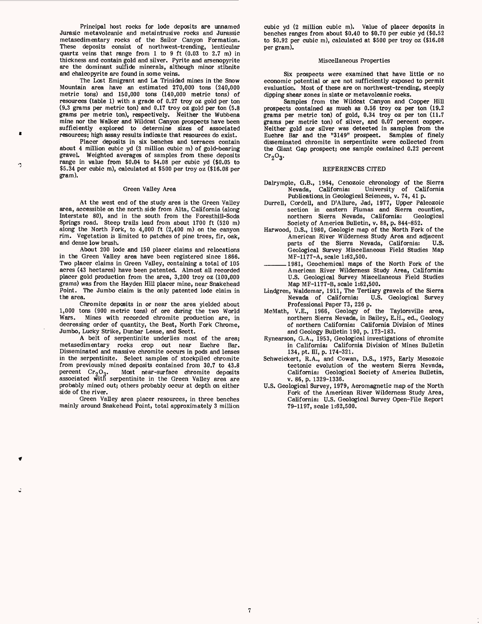Principal host rocks for lode deposits are unnamed Jurasic metavoicanic and metaintrusive rocks and Jurassic metasedimentary rocks of the Sailor Canyon Formation. These deposits consist of northwest-trending, lenticular quartz veins that range from 1 to 9 ft (0.03 to 2.7 m) in thickness and contain gold and silver. Pyrite and arsenopyrite are the dominant sulfide minerals, although minor stibnite and chalcopyrite are found in some veins.

The Lost Emigrant and La Trinidad mines in the Snow Mountain area have an estimated 270,000 tons (240,000 metric tons) and 150,000 tons (140,000 metric tons) of resources (table 1) with a grade of 0.27 troy oz gold per ton (9.3 grams per metric ton) and 0.17 troy oz gold per ton (5.8 grams per metric ton), respectively. Neither the Wubbena mine nor the Walker and Wildcat Canyon prospects have been sufficiently explored to determine sizes of associated resources; high assay results indicate that resources do exist.

Placer deposits in six benches and terraces contain about 4 million cubic yd (3 million cubic m) of gold-bearing graveL Weighted averages of samples from these deposits range in value from \$0.04 to \$4.08 per cubic yd (\$0.05 to \$5.34 per cubic m), calculated at \$500 per troy oz (\$16.08 per gram).

Ą

### Green Valley Area

At the west end of the study area is the Green Valley area, accessible on the north side from Alta, California (along Interstate 80), and in the south from the Foresthill-Soda Springs road. Steep trails lead from about 1700 ft (520 m) along the North Fork, to 4,000 ft (2,400 m) on the canyon rim. Vegetation is limited to patches of pine trees, fir, oak, and dense low brush.

About 200 lode and 150 placer claims and relocations in the Green Valley area have been registered since 1866. Two placer claims in Green Valley, containing a total of 105 acres (43 hectares) have been patented. Almost all recorded placer gold production from the area, 3,200 troy oz (100,000 grams) was from the Hayden Hill placer mine, near Snakehead Point. The Jumbo claim is the only patented lode claim in the area.

Chromite deposits in or near the area yielded about 1,000 tons (900 metric tons) of ore during the two World Wars. Mines with recorded chromite production are, in decreasing order of quantity, the Beat, North Fork Chrome, Jumbo, Lucky Strike, Dunbar Lease, and Scott.

A belt of serpentinite underlies most of the area; metasedimentary rocks crop out near Euchre Bar. Disseminated and massive chromite occurs in pods and lenses in the serpentinite. Select samples of stockpiled chromite from previously mined deposits contained from 30.7 to 43.8 percent  $Cr_2O_3$ . Most near-surface chromite deposits associated with serpentinite in the Green Valley area are probably mined out; others probably occur at depth on either side of the river.

Green Valley area placer resources, in three benches mainly around Snakehead Point, total approximately 3 million

cubic yd (2 million cubic m). Value of placer deposits in benches ranges from about \$0.40 to \$0.70 per cubic yd (\$0.52 to \$0.92 per cubic m), calculated at \$500 per troy oz (\$16.08 per gram).

# Miscellaneous Properties

Six prospects were examined that have little or no economic potential or are not sufficiently exposed to permit evaluation. Most of these are on northwest-trending, steeply dipping shear zones in slate or metavolcanic rocks.

Samples from the Wildcat Canyon and Copper Hill prospects contained as much as 0.56 troy oz per ton (19.2 grams per metric ton) of gold, 0.34 troy oz per ton (11.7 grams per metric ton) of silver, and 0.07 percent copper. Neither gold nor silver was detected in samples from the Euchre Bar and the "3149" prospect. Samples of finely disseminated chromite in serpentinite were collected from the Giant Gap prospect; one sample contained 0.22 percent  $Cr<sub>2</sub>O<sub>3</sub>$ .

# REFERENCES CITED

- Dalrymple, G.B., 1964, Cenozoic chronology of the Sierra University of California Publications, in Geological Sciences, v. 74, 41 p.
- Durrell, Cordell, and D'AHure, Jad, 1977, Upper Paleozoic section in eastern Plumas and Sierra counties,<br>northern Sierra Nevada, California: Geological northern Sierra Nevada, California: Society of America Bulletin, v. 88, p. 844-852.
- Harwood, D.S., 1980, Geologic map of the North Fork of the American River Wilderness Study Area and adjacent parts of the Sierra Nevada, California: Geological Survey Miscellaneous Field Studies Map MF-1177-A, scale 1:62,500.
- 1981, Geochemical maps of the North Fork of the American River Wilderness Study Area, California: U.S. Geological Survey Miscellaneous Field Studies Map MF-1177-B, scale 1:62,500.
- Lindgren, Waldemar, 1911, The Tertiary gravels of the Sierra U.S. Geological Survey Professional Paper 73, 226 p.
- McMath, V.E., 1966, Geology of the Taylorsville area, northern Sierra Nevada, in Bailey, E.H., ed., Geology of northern California: California Division of Mines and Geology Bulletin 190, p. 173-183.
- Rynearson, G.A., 1953, Geological investigations of chromite in California: California Division of Mines Bulletin 134, pt. HI, p. 174-321.
- Schweickert, R.A., and Cowan, D.S., 1975, Early Mesozoic tectonic evolution of the western Sierra Nevada, California: Geological Society of America Bulletin, v. 86, p. 1329-1336.
- U.S. Geological Survey, 1979, Aeromagnetic map of the North Fork of the American River Wilderness Study Area, California: U.S. Geological Survey Open-File Report 79-1197, scale 1:62,500.